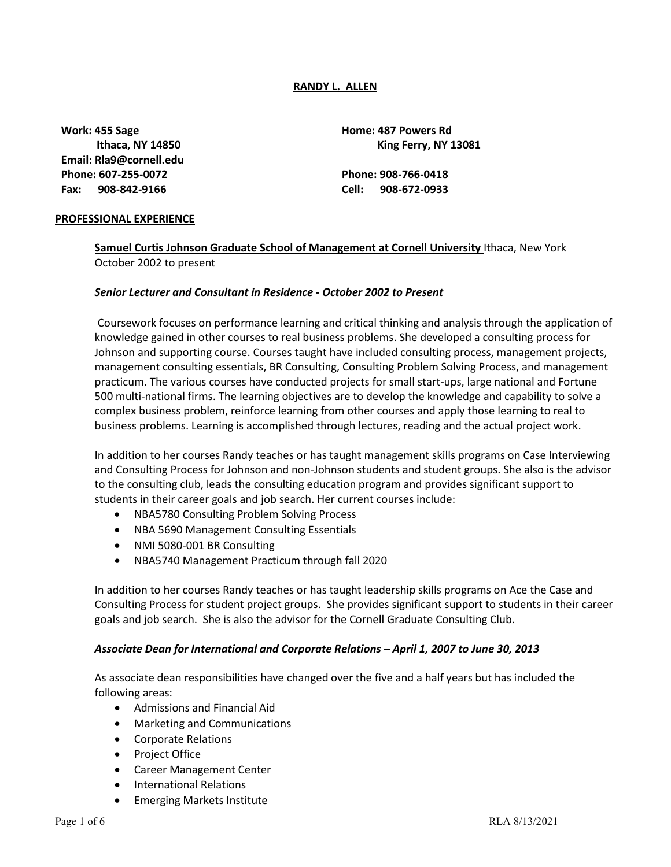#### **RANDY L. ALLEN**

**Work: 455 Sage Home: 487 Powers Rd Email: [Rla9@cornell.edu](mailto:Rla9@cornell.edu) Phone: 607-255-0072 Phone: 908-766-0418 Fax: 908-842-9166 Cell: 908-672-0933**

 **Ithaca, NY 14850 King Ferry, NY 13081**

#### **PROFESSIONAL EXPERIENCE**

**Samuel Curtis Johnson Graduate School of Management at Cornell University** Ithaca, New York October 2002 to present

#### *Senior Lecturer and Consultant in Residence - October 2002 to Present*

Coursework focuses on performance learning and critical thinking and analysis through the application of knowledge gained in other courses to real business problems. She developed a consulting process for Johnson and supporting course. Courses taught have included consulting process, management projects, management consulting essentials, BR Consulting, Consulting Problem Solving Process, and management practicum. The various courses have conducted projects for small start-ups, large national and Fortune 500 multi-national firms. The learning objectives are to develop the knowledge and capability to solve a complex business problem, reinforce learning from other courses and apply those learning to real to business problems. Learning is accomplished through lectures, reading and the actual project work.

In addition to her courses Randy teaches or has taught management skills programs on Case Interviewing and Consulting Process for Johnson and non-Johnson students and student groups. She also is the advisor to the consulting club, leads the consulting education program and provides significant support to students in their career goals and job search. Her current courses include:

- NBA5780 Consulting Problem Solving Process
- NBA 5690 Management Consulting Essentials
- NMI 5080-001 BR Consulting
- NBA5740 Management Practicum through fall 2020

In addition to her courses Randy teaches or has taught leadership skills programs on Ace the Case and Consulting Process for student project groups. She provides significant support to students in their career goals and job search. She is also the advisor for the Cornell Graduate Consulting Club.

#### *Associate Dean for International and Corporate Relations – April 1, 2007 to June 30, 2013*

As associate dean responsibilities have changed over the five and a half years but has included the following areas:

- Admissions and Financial Aid
- Marketing and Communications
- Corporate Relations
- Project Office
- Career Management Center
- International Relations
- Emerging Markets Institute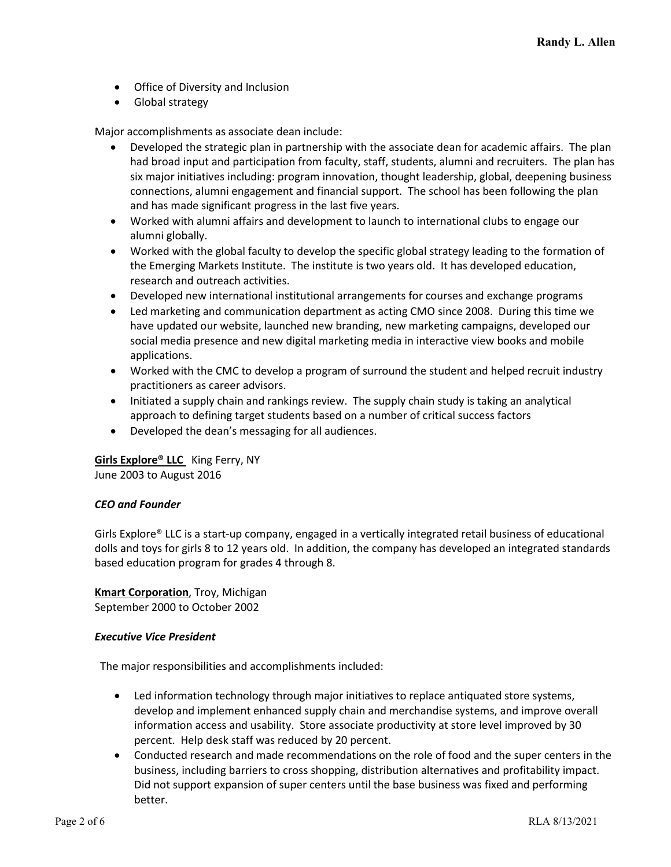- Office of Diversity and Inclusion
- Global strategy

Major accomplishments as associate dean include:

- Developed the strategic plan in partnership with the associate dean for academic affairs. The plan had broad input and participation from faculty, staff, students, alumni and recruiters. The plan has six major initiatives including: program innovation, thought leadership, global, deepening business connections, alumni engagement and financial support. The school has been following the plan and has made significant progress in the last five years.
- Worked with alumni affairs and development to launch to international clubs to engage our alumni globally.
- Worked with the global faculty to develop the specific global strategy leading to the formation of the Emerging Markets Institute. The institute is two years old. It has developed education, research and outreach activities.
- Developed new international institutional arrangements for courses and exchange programs
- Led marketing and communication department as acting CMO since 2008. During this time we have updated our website, launched new branding, new marketing campaigns, developed our social media presence and new digital marketing media in interactive view books and mobile applications.
- Worked with the CMC to develop a program of surround the student and helped recruit industry practitioners as career advisors.
- Initiated a supply chain and rankings review. The supply chain study is taking an analytical approach to defining target students based on a number of critical success factors
- Developed the dean's messaging for all audiences.

**Girls Explore® LLC** King Ferry, NY June 2003 to August 2016

# *CEO and Founder*

Girls Explore® LLC is a start-up company, engaged in a vertically integrated retail business of educational dolls and toys for girls 8 to 12 years old. In addition, the company has developed an integrated standards based education program for grades 4 through 8.

**Kmart Corporation**, Troy, Michigan

September 2000 to October 2002

# *Executive Vice President*

The major responsibilities and accomplishments included:

- Led information technology through major initiatives to replace antiquated store systems, develop and implement enhanced supply chain and merchandise systems, and improve overall information access and usability. Store associate productivity at store level improved by 30 percent. Help desk staff was reduced by 20 percent.
- Conducted research and made recommendations on the role of food and the super centers in the business, including barriers to cross shopping, distribution alternatives and profitability impact. Did not support expansion of super centers until the base business was fixed and performing better.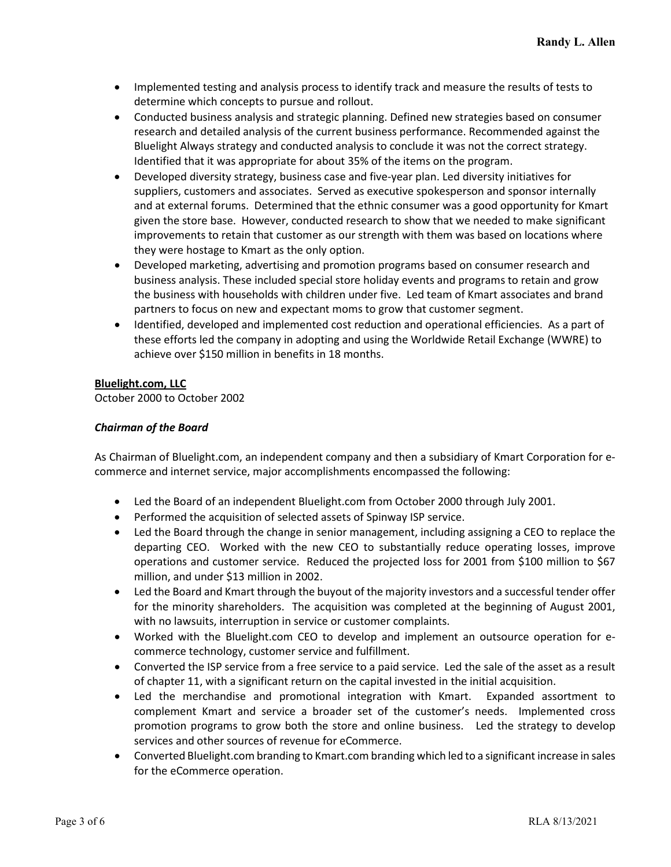- Implemented testing and analysis process to identify track and measure the results of tests to determine which concepts to pursue and rollout.
- Conducted business analysis and strategic planning. Defined new strategies based on consumer research and detailed analysis of the current business performance. Recommended against the Bluelight Always strategy and conducted analysis to conclude it was not the correct strategy. Identified that it was appropriate for about 35% of the items on the program.
- Developed diversity strategy, business case and five-year plan. Led diversity initiatives for suppliers, customers and associates. Served as executive spokesperson and sponsor internally and at external forums. Determined that the ethnic consumer was a good opportunity for Kmart given the store base. However, conducted research to show that we needed to make significant improvements to retain that customer as our strength with them was based on locations where they were hostage to Kmart as the only option.
- Developed marketing, advertising and promotion programs based on consumer research and business analysis. These included special store holiday events and programs to retain and grow the business with households with children under five. Led team of Kmart associates and brand partners to focus on new and expectant moms to grow that customer segment.
- Identified, developed and implemented cost reduction and operational efficiencies. As a part of these efforts led the company in adopting and using the Worldwide Retail Exchange (WWRE) to achieve over \$150 million in benefits in 18 months.

#### **Bluelight.com, LLC**

October 2000 to October 2002

# *Chairman of the Board*

As Chairman of Bluelight.com, an independent company and then a subsidiary of Kmart Corporation for ecommerce and internet service, major accomplishments encompassed the following:

- Led the Board of an independent Bluelight.com from October 2000 through July 2001.
- Performed the acquisition of selected assets of Spinway ISP service.
- Led the Board through the change in senior management, including assigning a CEO to replace the departing CEO. Worked with the new CEO to substantially reduce operating losses, improve operations and customer service. Reduced the projected loss for 2001 from \$100 million to \$67 million, and under \$13 million in 2002.
- Led the Board and Kmart through the buyout of the majority investors and a successful tender offer for the minority shareholders. The acquisition was completed at the beginning of August 2001, with no lawsuits, interruption in service or customer complaints.
- Worked with the Bluelight.com CEO to develop and implement an outsource operation for ecommerce technology, customer service and fulfillment.
- Converted the ISP service from a free service to a paid service. Led the sale of the asset as a result of chapter 11, with a significant return on the capital invested in the initial acquisition.
- Led the merchandise and promotional integration with Kmart. Expanded assortment to complement Kmart and service a broader set of the customer's needs. Implemented cross promotion programs to grow both the store and online business. Led the strategy to develop services and other sources of revenue for eCommerce.
- Converted Bluelight.com branding to Kmart.com branding which led to a significant increase in sales for the eCommerce operation.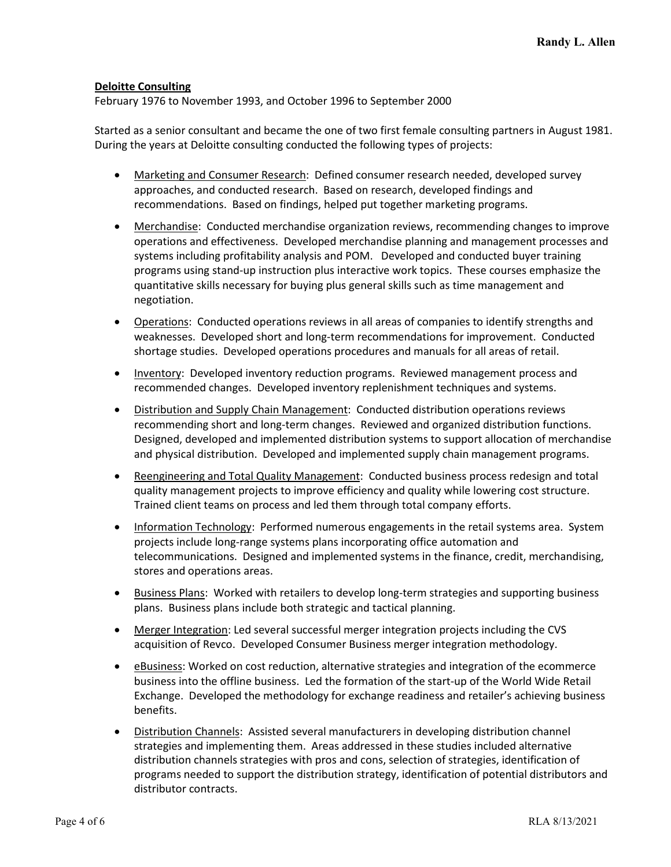#### **Deloitte Consulting**

February 1976 to November 1993, and October 1996 to September 2000

Started as a senior consultant and became the one of two first female consulting partners in August 1981. During the years at Deloitte consulting conducted the following types of projects:

- Marketing and Consumer Research: Defined consumer research needed, developed survey approaches, and conducted research. Based on research, developed findings and recommendations. Based on findings, helped put together marketing programs.
- Merchandise: Conducted merchandise organization reviews, recommending changes to improve operations and effectiveness. Developed merchandise planning and management processes and systems including profitability analysis and POM. Developed and conducted buyer training programs using stand-up instruction plus interactive work topics. These courses emphasize the quantitative skills necessary for buying plus general skills such as time management and negotiation.
- Operations: Conducted operations reviews in all areas of companies to identify strengths and weaknesses. Developed short and long-term recommendations for improvement. Conducted shortage studies. Developed operations procedures and manuals for all areas of retail.
- Inventory: Developed inventory reduction programs. Reviewed management process and recommended changes. Developed inventory replenishment techniques and systems.
- Distribution and Supply Chain Management: Conducted distribution operations reviews recommending short and long-term changes. Reviewed and organized distribution functions. Designed, developed and implemented distribution systems to support allocation of merchandise and physical distribution. Developed and implemented supply chain management programs.
- Reengineering and Total Quality Management: Conducted business process redesign and total quality management projects to improve efficiency and quality while lowering cost structure. Trained client teams on process and led them through total company efforts.
- Information Technology: Performed numerous engagements in the retail systems area. System projects include long-range systems plans incorporating office automation and telecommunications. Designed and implemented systems in the finance, credit, merchandising, stores and operations areas.
- Business Plans: Worked with retailers to develop long-term strategies and supporting business plans. Business plans include both strategic and tactical planning.
- Merger Integration: Led several successful merger integration projects including the CVS acquisition of Revco. Developed Consumer Business merger integration methodology.
- eBusiness: Worked on cost reduction, alternative strategies and integration of the ecommerce business into the offline business. Led the formation of the start-up of the World Wide Retail Exchange. Developed the methodology for exchange readiness and retailer's achieving business benefits.
- Distribution Channels: Assisted several manufacturers in developing distribution channel strategies and implementing them. Areas addressed in these studies included alternative distribution channels strategies with pros and cons, selection of strategies, identification of programs needed to support the distribution strategy, identification of potential distributors and distributor contracts.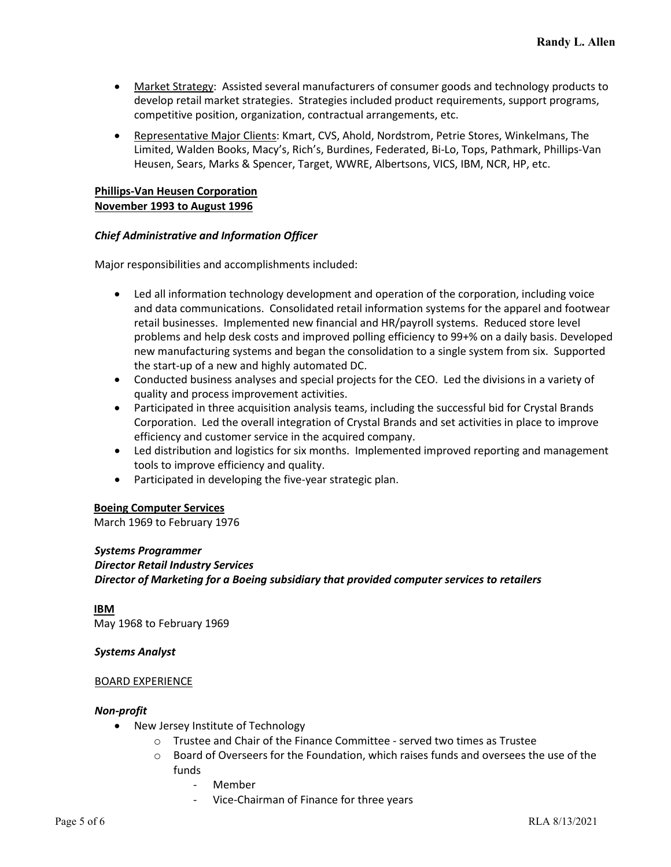- Market Strategy: Assisted several manufacturers of consumer goods and technology products to develop retail market strategies. Strategies included product requirements, support programs, competitive position, organization, contractual arrangements, etc.
- Representative Major Clients: Kmart, CVS, Ahold, Nordstrom, Petrie Stores, Winkelmans, The Limited, Walden Books, Macy's, Rich's, Burdines, Federated, Bi-Lo, Tops, Pathmark, Phillips-Van Heusen, Sears, Marks & Spencer, Target, WWRE, Albertsons, VICS, IBM, NCR, HP, etc.

#### **Phillips-Van Heusen Corporation November 1993 to August 1996**

# *Chief Administrative and Information Officer*

Major responsibilities and accomplishments included:

- Led all information technology development and operation of the corporation, including voice and data communications. Consolidated retail information systems for the apparel and footwear retail businesses. Implemented new financial and HR/payroll systems. Reduced store level problems and help desk costs and improved polling efficiency to 99+% on a daily basis. Developed new manufacturing systems and began the consolidation to a single system from six. Supported the start-up of a new and highly automated DC.
- Conducted business analyses and special projects for the CEO. Led the divisions in a variety of quality and process improvement activities.
- Participated in three acquisition analysis teams, including the successful bid for Crystal Brands Corporation. Led the overall integration of Crystal Brands and set activities in place to improve efficiency and customer service in the acquired company.
- Led distribution and logistics for six months. Implemented improved reporting and management tools to improve efficiency and quality.
- Participated in developing the five-year strategic plan.

# **Boeing Computer Services**

March 1969 to February 1976

# *Systems Programmer*

*Director Retail Industry Services Director of Marketing for a Boeing subsidiary that provided computer services to retailers*

#### **IBM**

May 1968 to February 1969

# *Systems Analyst*

#### BOARD EXPERIENCE

#### *Non-profit*

- New Jersey Institute of Technology
	- $\circ$  Trustee and Chair of the Finance Committee served two times as Trustee
	- $\circ$  Board of Overseers for the Foundation, which raises funds and oversees the use of the funds
		- Member
		- Vice-Chairman of Finance for three years